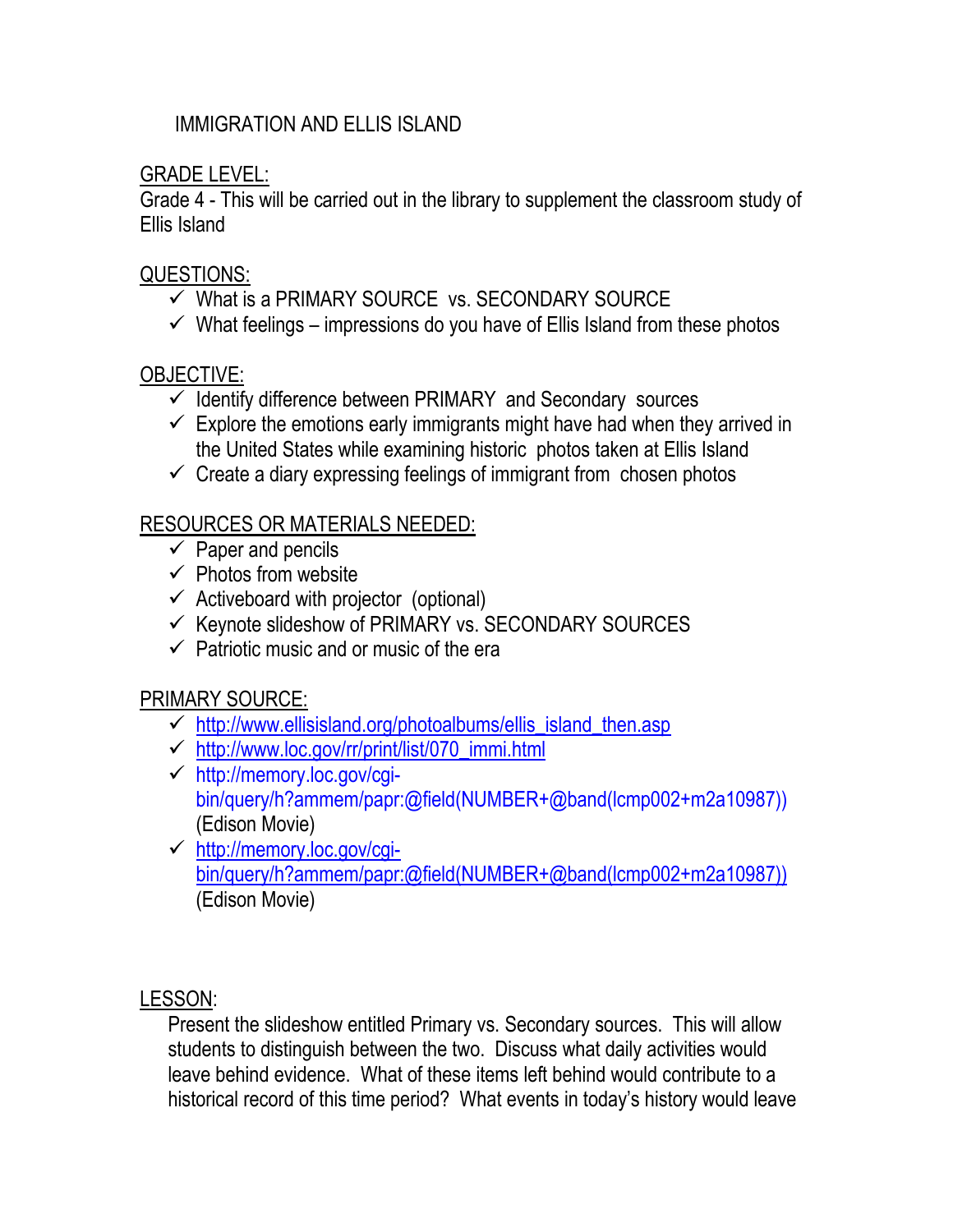#### IMMIGRATION AND ELLIS ISLAND

GRADE LEVEL:

Grade 4 - This will be carried out in the library to supplement the classroom study of Ellis Island

### QUESTIONS:

- $\checkmark$  What is a PRIMARY SOURCE vs. SECONDARY SOURCE
- $\checkmark$  What feelings impressions do you have of Ellis Island from these photos

## OBJECTIVE:

- $\checkmark$  Identify difference between PRIMARY and Secondary sources
- $\checkmark$  Explore the emotions early immigrants might have had when they arrived in the United States while examining historic photos taken at Ellis Island
- $\checkmark$  Create a diary expressing feelings of immigrant from chosen photos

# RESOURCES OR MATERIALS NEEDED:

- $\checkmark$  Paper and pencils
- $\checkmark$  Photos from website
- $\checkmark$  Activeboard with projector (optional)
- $\checkmark$  Keynote slideshow of PRIMARY vs. SECONDARY SOURCES
- $\checkmark$  Patriotic music and or music of the era

# PRIMARY SOURCE:

- [http://www.ellisisland.org/photoalbums/ellis\\_island\\_then.asp](http://www.ellisisland.org/photoalbums/ellis_island_then.asp)
- $\checkmark$  http://www.loc.gov/rr/print/list/070 immi.html
- [http://memory.loc.gov/cgi](http://memory.loc.gov/cgi-bin/query/h?ammem/papr:@field(NUMBER+@band(lcmp002+m2a10987)))[bin/query/h?ammem/papr:@field\(NUMBER+@band\(lcmp002+m2a10987\)\)](http://memory.loc.gov/cgi-bin/query/h?ammem/papr:@field(NUMBER+@band(lcmp002+m2a10987)))  (Edison Movie)
- [http://memory.loc.gov/cgi](http://memory.loc.gov/cgi-bin/query/h?ammem/papr:@field(NUMBER+@band(lcmp002+m2a10987)))[bin/query/h?ammem/papr:@field\(NUMBER+@band\(lcmp002+m2a10987\)\)](http://memory.loc.gov/cgi-bin/query/h?ammem/papr:@field(NUMBER+@band(lcmp002+m2a10987))) (Edison Movie)

LESSON:

Present the slideshow entitled Primary vs. Secondary sources. This will allow students to distinguish between the two. Discuss what daily activities would leave behind evidence. What of these items left behind would contribute to a historical record of this time period? What events in today's history would leave